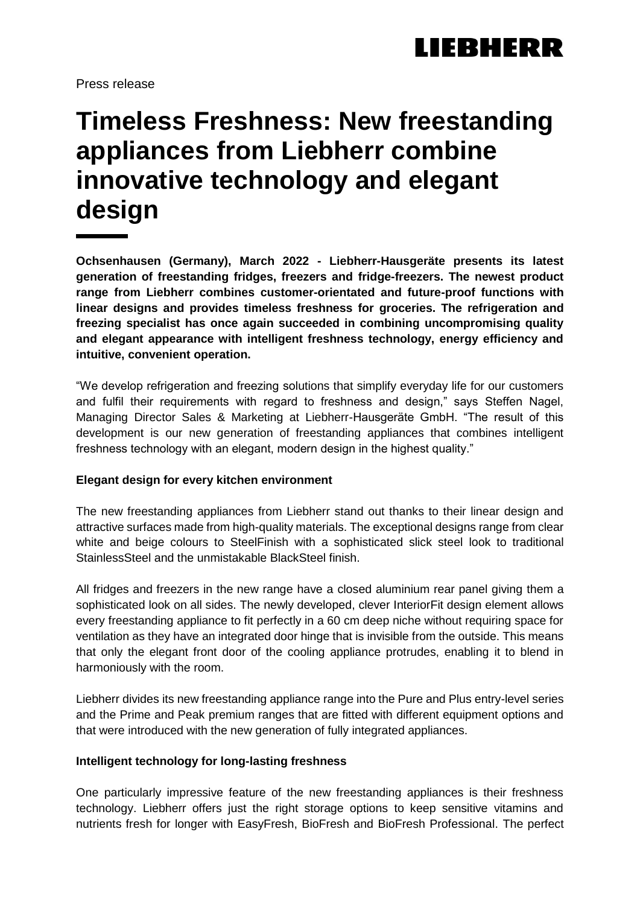Press release

## **Timeless Freshness: New freestanding appliances from Liebherr combine innovative technology and elegant design**

**Ochsenhausen (Germany), March 2022 - Liebherr-Hausgeräte presents its latest generation of freestanding fridges, freezers and fridge-freezers. The newest product range from Liebherr combines customer-orientated and future-proof functions with linear designs and provides timeless freshness for groceries. The refrigeration and freezing specialist has once again succeeded in combining uncompromising quality and elegant appearance with intelligent freshness technology, energy efficiency and intuitive, convenient operation.**

"We develop refrigeration and freezing solutions that simplify everyday life for our customers and fulfil their requirements with regard to freshness and design," says Steffen Nagel, Managing Director Sales & Marketing at Liebherr-Hausgeräte GmbH. "The result of this development is our new generation of freestanding appliances that combines intelligent freshness technology with an elegant, modern design in the highest quality."

## **Elegant design for every kitchen environment**

The new freestanding appliances from Liebherr stand out thanks to their linear design and attractive surfaces made from high-quality materials. The exceptional designs range from clear white and beige colours to SteelFinish with a sophisticated slick steel look to traditional StainlessSteel and the unmistakable BlackSteel finish.

All fridges and freezers in the new range have a closed aluminium rear panel giving them a sophisticated look on all sides. The newly developed, clever InteriorFit design element allows every freestanding appliance to fit perfectly in a 60 cm deep niche without requiring space for ventilation as they have an integrated door hinge that is invisible from the outside. This means that only the elegant front door of the cooling appliance protrudes, enabling it to blend in harmoniously with the room.

Liebherr divides its new freestanding appliance range into the Pure and Plus entry-level series and the Prime and Peak premium ranges that are fitted with different equipment options and that were introduced with the new generation of fully integrated appliances.

#### **Intelligent technology for long-lasting freshness**

One particularly impressive feature of the new freestanding appliances is their freshness technology. Liebherr offers just the right storage options to keep sensitive vitamins and nutrients fresh for longer with EasyFresh, BioFresh and BioFresh Professional. The perfect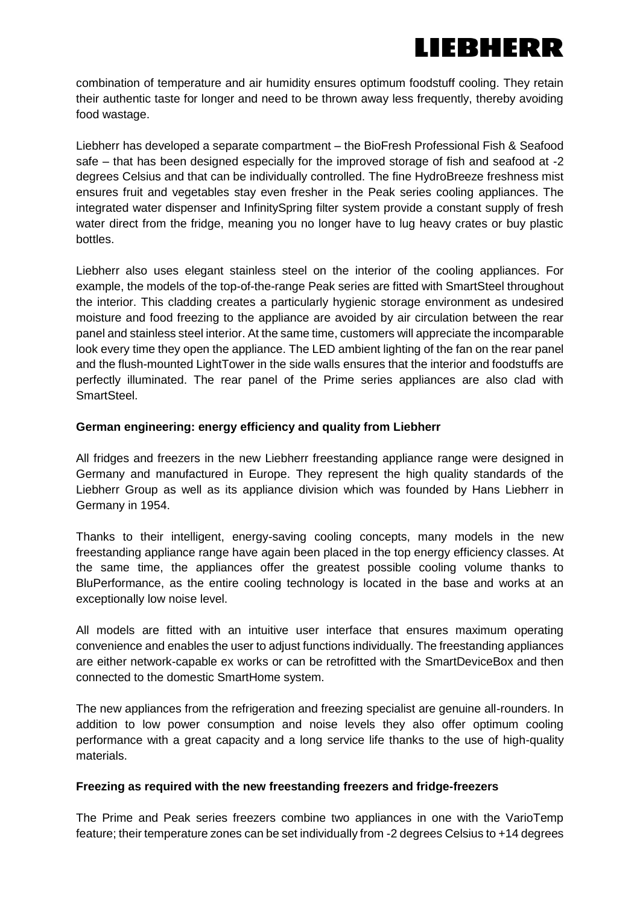# IEBHERR

combination of temperature and air humidity ensures optimum foodstuff cooling. They retain their authentic taste for longer and need to be thrown away less frequently, thereby avoiding food wastage.

Liebherr has developed a separate compartment – the BioFresh Professional Fish & Seafood safe – that has been designed especially for the improved storage of fish and seafood at -2 degrees Celsius and that can be individually controlled. The fine HydroBreeze freshness mist ensures fruit and vegetables stay even fresher in the Peak series cooling appliances. The integrated water dispenser and InfinitySpring filter system provide a constant supply of fresh water direct from the fridge, meaning you no longer have to lug heavy crates or buy plastic bottles.

Liebherr also uses elegant stainless steel on the interior of the cooling appliances. For example, the models of the top-of-the-range Peak series are fitted with SmartSteel throughout the interior. This cladding creates a particularly hygienic storage environment as undesired moisture and food freezing to the appliance are avoided by air circulation between the rear panel and stainless steel interior. At the same time, customers will appreciate the incomparable look every time they open the appliance. The LED ambient lighting of the fan on the rear panel and the flush-mounted LightTower in the side walls ensures that the interior and foodstuffs are perfectly illuminated. The rear panel of the Prime series appliances are also clad with SmartSteel.

### **German engineering: energy efficiency and quality from Liebherr**

All fridges and freezers in the new Liebherr freestanding appliance range were designed in Germany and manufactured in Europe. They represent the high quality standards of the Liebherr Group as well as its appliance division which was founded by Hans Liebherr in Germany in 1954.

Thanks to their intelligent, energy-saving cooling concepts, many models in the new freestanding appliance range have again been placed in the top energy efficiency classes. At the same time, the appliances offer the greatest possible cooling volume thanks to BluPerformance, as the entire cooling technology is located in the base and works at an exceptionally low noise level.

All models are fitted with an intuitive user interface that ensures maximum operating convenience and enables the user to adjust functions individually. The freestanding appliances are either network-capable ex works or can be retrofitted with the SmartDeviceBox and then connected to the domestic SmartHome system.

The new appliances from the refrigeration and freezing specialist are genuine all-rounders. In addition to low power consumption and noise levels they also offer optimum cooling performance with a great capacity and a long service life thanks to the use of high-quality materials.

## **Freezing as required with the new freestanding freezers and fridge-freezers**

The Prime and Peak series freezers combine two appliances in one with the VarioTemp feature; their temperature zones can be set individually from -2 degrees Celsius to +14 degrees